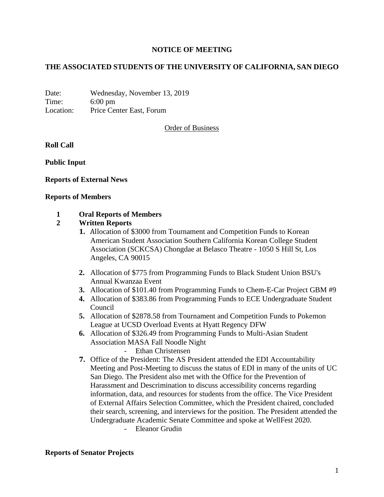# **NOTICE OF MEETING**

# **THE ASSOCIATED STUDENTS OF THE UNIVERSITY OF CALIFORNIA, SAN DIEGO**

Date: Wednesday, November 13, 2019 Time: 6:00 pm Location: Price Center East, Forum

Order of Business

### **Roll Call**

**Public Input**

### **Reports of External News**

#### **Reports of Members**

### **1 Oral Reports of Members**

#### **2 Written Reports**

- **1.** Allocation of \$3000 from Tournament and Competition Funds to Korean American Student Association Southern California Korean College Student Association (SCKCSA) Chongdae at Belasco Theatre - 1050 S Hill St, Los Angeles, CA 90015
- **2.** Allocation of \$775 from Programming Funds to Black Student Union BSU's Annual Kwanzaa Event
- **3.** Allocation of \$101.40 from Programming Funds to Chem-E-Car Project GBM #9
- **4.** Allocation of \$383.86 from Programming Funds to ECE Undergraduate Student Council
- **5.** Allocation of \$2878.58 from Tournament and Competition Funds to Pokemon League at UCSD Overload Events at Hyatt Regency DFW
- **6.** Allocation of \$326.49 from Programming Funds to Multi-Asian Student Association MASA Fall Noodle Night

Ethan Christensen

**7.** Office of the President: The AS President attended the EDI Accountability Meeting and Post-Meeting to discuss the status of EDI in many of the units of UC San Diego. The President also met with the Office for the Prevention of Harassment and Descrimination to discuss accessibility concerns regarding information, data, and resources for students from the office. The Vice President of External Affairs Selection Committee, which the President chaired, concluded their search, screening, and interviews for the position. The President attended the Undergraduate Academic Senate Committee and spoke at WellFest 2020.

- Eleanor Grudin

### **Reports of Senator Projects**